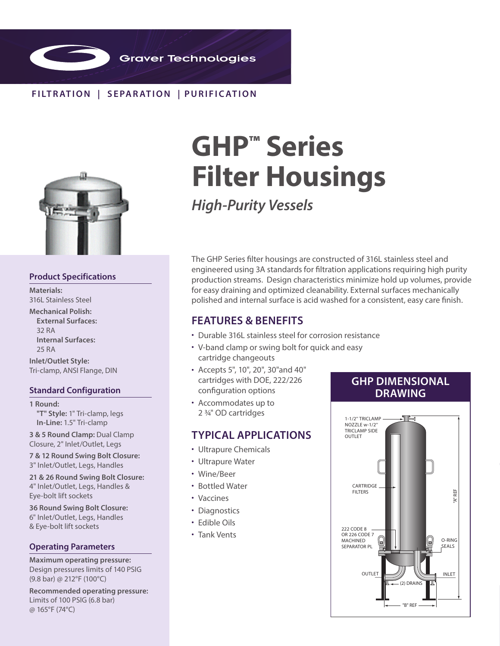

## **FILTR ATION | SEPAR ATION | PURIFIC ATION**



## **Product Specifications**

**Materials:**  316L Stainless Steel

**Mechanical Polish: External Surfaces:**  32 RA **Internal Surfaces:** 25 RA

**Inlet/Outlet Style:** Tri-clamp, ANSI Flange, DIN

## **Standard Configuration**

**1 Round: "T" Style:** 1" Tri-clamp, legs **In-Line:** 1.5" Tri-clamp

**3 & 5 Round Clamp:** Dual Clamp Closure, 2" Inlet/Outlet, Legs

**7 & 12 Round Swing Bolt Closure:**  3" Inlet/Outlet, Legs, Handles

**21 & 26 Round Swing Bolt Closure:**  4" Inlet/Outlet, Legs, Handles & Eye-bolt lift sockets

**36 Round Swing Bolt Closure:**  6" Inlet/Outlet, Legs, Handles & Eye-bolt lift sockets

### **Operating Parameters**

**Maximum operating pressure:**  Design pressures limits of 140 PSIG (9.8 bar) @ 212°F (100°C)

**Recommended operating pressure:** Limits of 100 PSIG (6.8 bar) @ 165°F (74°C)

# **GHP™ Series Filter Housings**

*High-Purity Vessels*

The GHP Series filter housings are constructed of 316L stainless steel and engineered using 3A standards for filtration applications requiring high purity production streams. Design characteristics minimize hold up volumes, provide for easy draining and optimized cleanability. External surfaces mechanically polished and internal surface is acid washed for a consistent, easy care finish.

## **FEATURES & BENEFITS**

- Durable 316L stainless steel for corrosion resistance
- V-band clamp or swing bolt for quick and easy cartridge changeouts
- Accepts 5", 10", 20", 30"and 40" cartridges with DOE, 222/226 configuration options
- Accommodates up to 2 3/4" OD cartridges

## **TYPICAL APPLICATIONS**

- Ultrapure Chemicals
- Ultrapure Water
- Wine/Beer
- Bottled Water
- Vaccines
- Diagnostics
- Edible Oils
- Tank Vents

## **GHP DIMENSIONAL DRAWING**